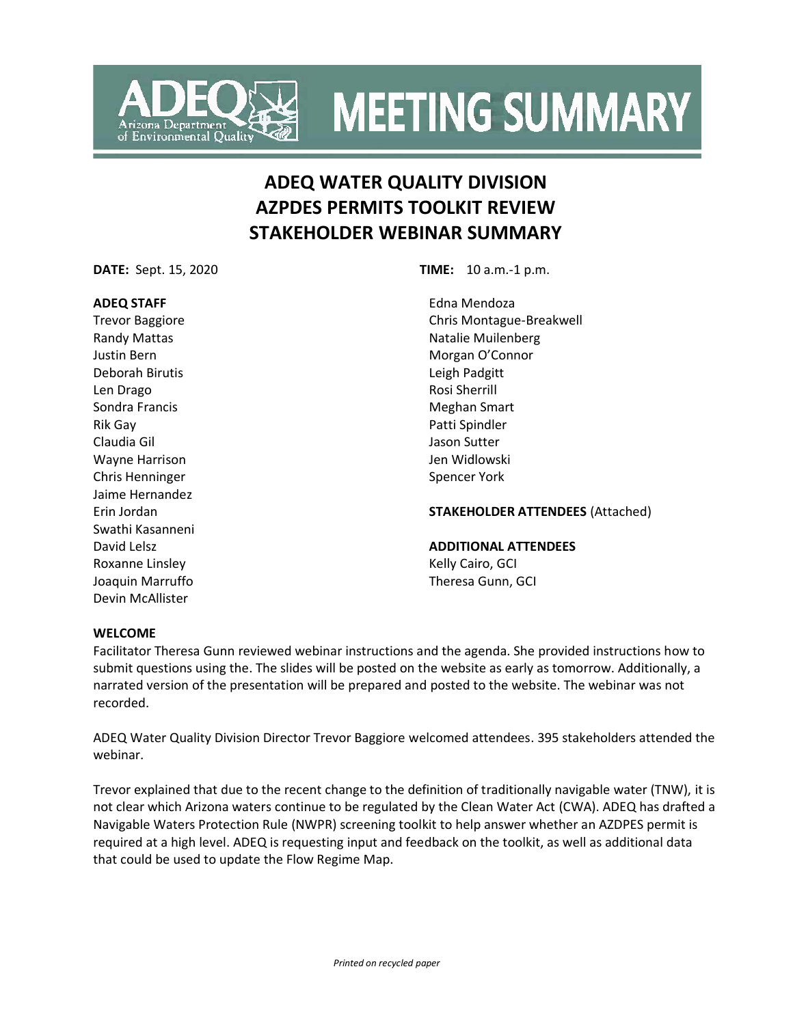

# **ADEQ WATER QUALITY DIVISION AZPDES PERMITS TOOLKIT REVIEW STAKEHOLDER WEBINAR SUMMARY**

**Environmental Quality** 

## **ADEQ STAFF**

Trevor Baggiore Randy Mattas Justin Bern Deborah Birutis Len Drago Sondra Francis Rik Gay Claudia Gil Wayne Harrison Chris Henninger Jaime Hernandez Erin Jordan Swathi Kasanneni David Lelsz Roxanne Linsley Joaquin Marruffo Devin McAllister

**DATE:** Sept. 15, 2020 **TIME:** 10 a.m.-1 p.m.

Edna Mendoza Chris Montague-Breakwell Natalie Muilenberg Morgan O'Connor Leigh Padgitt Rosi Sherrill Meghan Smart Patti Spindler Jason Sutter Jen Widlowski Spencer York

## **STAKEHOLDER ATTENDEES** (Attached)

#### **ADDITIONAL ATTENDEES**

Kelly Cairo, GCI Theresa Gunn, GCI

#### **WELCOME**

Facilitator Theresa Gunn reviewed webinar instructions and the agenda. She provided instructions how to submit questions using the. The slides will be posted on the website as early as tomorrow. Additionally, a narrated version of the presentation will be prepared and posted to the website. The webinar was not recorded.

ADEQ Water Quality Division Director Trevor Baggiore welcomed attendees. 395 stakeholders attended the webinar.

Trevor explained that due to the recent change to the definition of traditionally navigable water (TNW), it is not clear which Arizona waters continue to be regulated by the Clean Water Act (CWA). ADEQ has drafted a Navigable Waters Protection Rule (NWPR) screening toolkit to help answer whether an AZDPES permit is required at a high level. ADEQ is requesting input and feedback on the toolkit, as well as additional data that could be used to update the Flow Regime Map.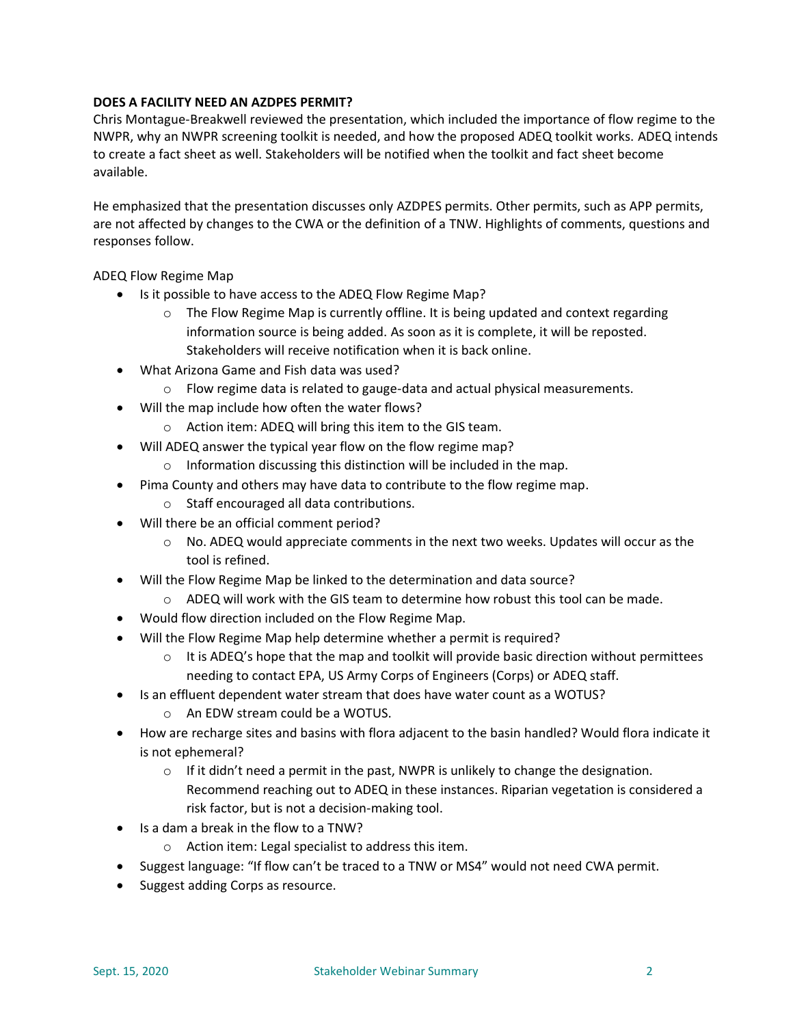# **DOES A FACILITY NEED AN AZDPES PERMIT?**

Chris Montague-Breakwell reviewed the presentation, which included the importance of flow regime to the NWPR, why an NWPR screening toolkit is needed, and how the proposed ADEQ toolkit works. ADEQ intends to create a fact sheet as well. Stakeholders will be notified when the toolkit and fact sheet become available.

He emphasized that the presentation discusses only AZDPES permits. Other permits, such as APP permits, are not affected by changes to the CWA or the definition of a TNW. Highlights of comments, questions and responses follow.

ADEQ Flow Regime Map

- Is it possible to have access to the ADEQ Flow Regime Map?
	- $\circ$  The Flow Regime Map is currently offline. It is being updated and context regarding information source is being added. As soon as it is complete, it will be reposted. Stakeholders will receive notification when it is back online.
- What Arizona Game and Fish data was used?
	- o Flow regime data is related to gauge-data and actual physical measurements.
- Will the map include how often the water flows?
	- o Action item: ADEQ will bring this item to the GIS team.
- Will ADEQ answer the typical year flow on the flow regime map?
	- o Information discussing this distinction will be included in the map.
- Pima County and others may have data to contribute to the flow regime map.
	- o Staff encouraged all data contributions.
- Will there be an official comment period?
	- $\circ$  No. ADEQ would appreciate comments in the next two weeks. Updates will occur as the tool is refined.
- Will the Flow Regime Map be linked to the determination and data source?
	- $\circ$  ADEQ will work with the GIS team to determine how robust this tool can be made.
- Would flow direction included on the Flow Regime Map.
- Will the Flow Regime Map help determine whether a permit is required?
	- $\circ$  It is ADEQ's hope that the map and toolkit will provide basic direction without permittees needing to contact EPA, US Army Corps of Engineers (Corps) or ADEQ staff.
- Is an effluent dependent water stream that does have water count as a WOTUS?
	- o An EDW stream could be a WOTUS.
- How are recharge sites and basins with flora adjacent to the basin handled? Would flora indicate it is not ephemeral?
	- $\circ$  If it didn't need a permit in the past, NWPR is unlikely to change the designation. Recommend reaching out to ADEQ in these instances. Riparian vegetation is considered a risk factor, but is not a decision-making tool.
- Is a dam a break in the flow to a TNW?
	- o Action item: Legal specialist to address this item.
- Suggest language: "If flow can't be traced to a TNW or MS4" would not need CWA permit.
- Suggest adding Corps as resource.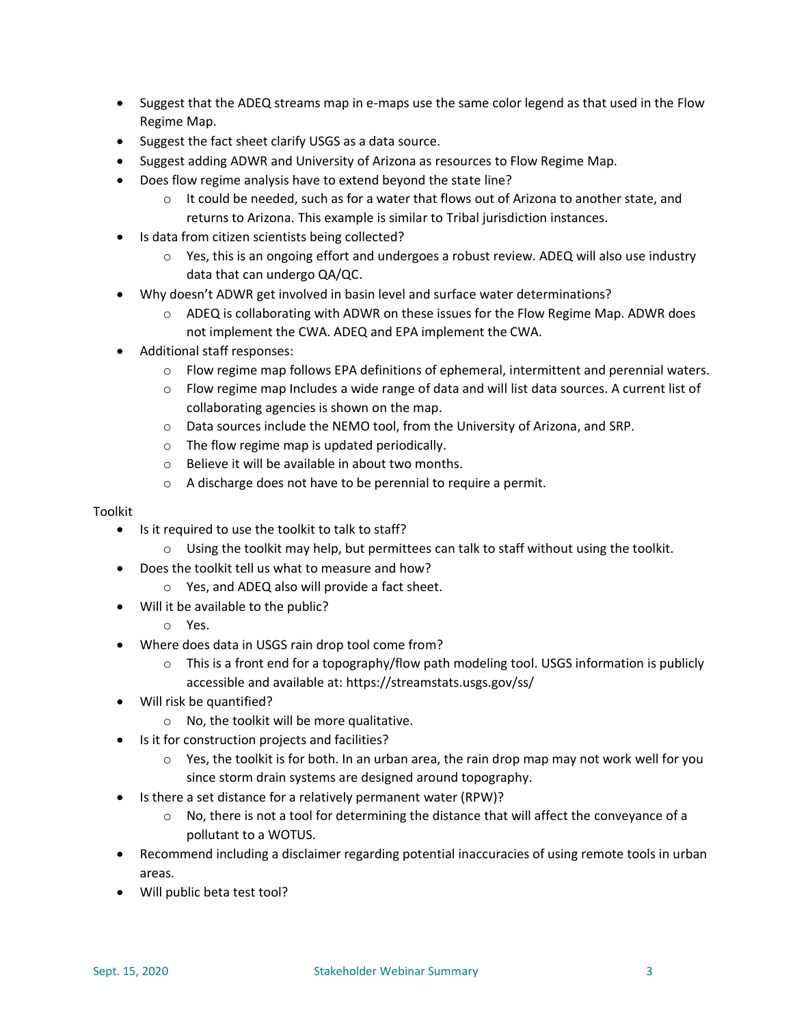- Suggest that the ADEQ streams map in e-maps use the same color legend as that used in the Flow Regime Map.
- Suggest the fact sheet clarify USGS as a data source.
- Suggest adding ADWR and University of Arizona as resources to Flow Regime Map.
- Does flow regime analysis have to extend beyond the state line?
	- $\circ$  It could be needed, such as for a water that flows out of Arizona to another state, and returns to Arizona. This example is similar to Tribal jurisdiction instances.
- Is data from citizen scientists being collected?
	- $\circ$  Yes, this is an ongoing effort and undergoes a robust review. ADEQ will also use industry data that can undergo QA/QC.
	- Why doesn't ADWR get involved in basin level and surface water determinations?
		- $\circ$  ADEQ is collaborating with ADWR on these issues for the Flow Regime Map. ADWR does not implement the CWA. ADEQ and EPA implement the CWA.
- Additional staff responses:
	- o Flow regime map follows EPA definitions of ephemeral, intermittent and perennial waters.
	- $\circ$  Flow regime map Includes a wide range of data and will list data sources. A current list of collaborating agencies is shown on the map.
	- o Data sources include the NEMO tool, from the University of Arizona, and SRP.
	- o The flow regime map is updated periodically.
	- o Believe it will be available in about two months.
	- o A discharge does not have to be perennial to require a permit.

# Toolkit

- Is it required to use the toolkit to talk to staff?
	- $\circ$  Using the toolkit may help, but permittees can talk to staff without using the toolkit.
- Does the toolkit tell us what to measure and how?
	- o Yes, and ADEQ also will provide a fact sheet.
- Will it be available to the public?
	- o Yes.
- Where does data in USGS rain drop tool come from?
	- $\circ$  This is a front end for a topography/flow path modeling tool. USGS information is publicly accessible and available at: https://streamstats.usgs.gov/ss/
- Will risk be quantified?
	- o No, the toolkit will be more qualitative.
- Is it for construction projects and facilities?
	- $\circ$  Yes, the toolkit is for both. In an urban area, the rain drop map may not work well for you since storm drain systems are designed around topography.
- Is there a set distance for a relatively permanent water (RPW)?
	- $\circ$  No, there is not a tool for determining the distance that will affect the conveyance of a pollutant to a WOTUS.
- Recommend including a disclaimer regarding potential inaccuracies of using remote tools in urban areas.
- Will public beta test tool?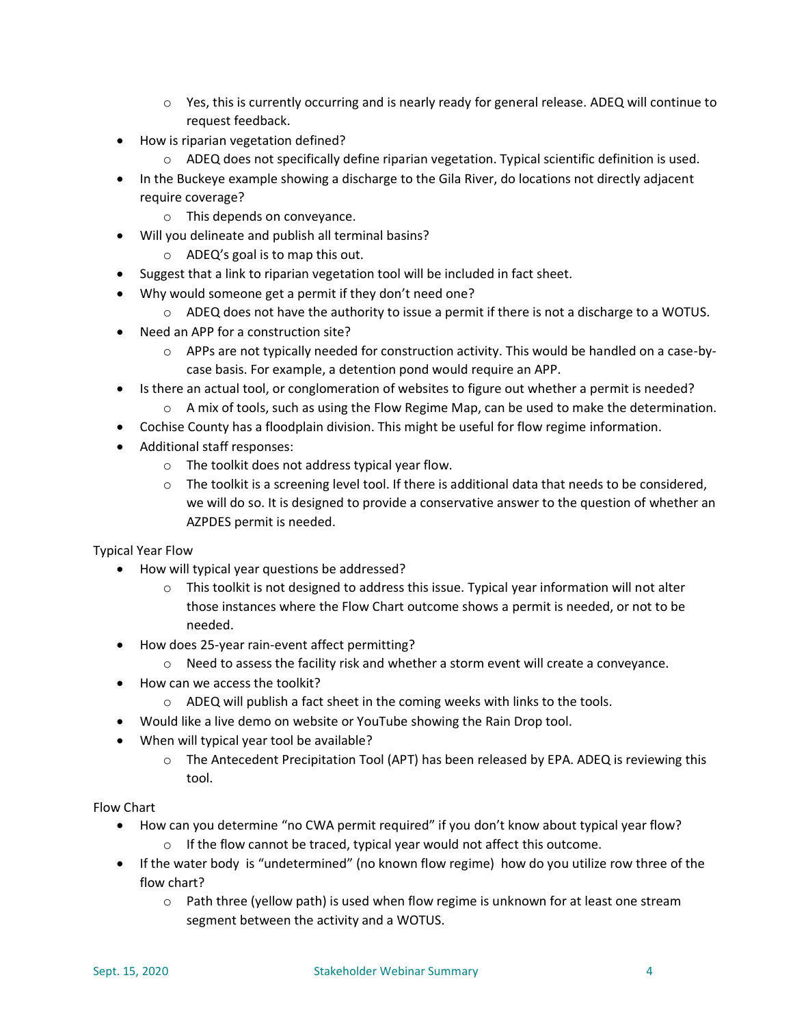- $\circ$  Yes, this is currently occurring and is nearly ready for general release. ADEQ will continue to request feedback.
- How is riparian vegetation defined?
	- o ADEQ does not specifically define riparian vegetation. Typical scientific definition is used.
- In the Buckeye example showing a discharge to the Gila River, do locations not directly adjacent require coverage?
	- o This depends on conveyance.
- Will you delineate and publish all terminal basins?
	- o ADEQ's goal is to map this out.
- Suggest that a link to riparian vegetation tool will be included in fact sheet.
- Why would someone get a permit if they don't need one?
	- $\circ$  ADEQ does not have the authority to issue a permit if there is not a discharge to a WOTUS.
- Need an APP for a construction site?
	- $\circ$  APPs are not typically needed for construction activity. This would be handled on a case-bycase basis. For example, a detention pond would require an APP.
- Is there an actual tool, or conglomeration of websites to figure out whether a permit is needed?
	- $\circ$  A mix of tools, such as using the Flow Regime Map, can be used to make the determination.
- Cochise County has a floodplain division. This might be useful for flow regime information.
- Additional staff responses:
	- o The toolkit does not address typical year flow.
	- $\circ$  The toolkit is a screening level tool. If there is additional data that needs to be considered, we will do so. It is designed to provide a conservative answer to the question of whether an AZPDES permit is needed.

Typical Year Flow

- How will typical year questions be addressed?
	- $\circ$  This toolkit is not designed to address this issue. Typical year information will not alter those instances where the Flow Chart outcome shows a permit is needed, or not to be needed.
- How does 25-year rain-event affect permitting?
	- $\circ$  Need to assess the facility risk and whether a storm event will create a conveyance.
- How can we access the toolkit?
	- o ADEQ will publish a fact sheet in the coming weeks with links to the tools.
	- Would like a live demo on website or YouTube showing the Rain Drop tool.
- When will typical year tool be available?
	- o The Antecedent Precipitation Tool (APT) has been released by EPA. ADEQ is reviewing this tool.

Flow Chart

- How can you determine "no CWA permit required" if you don't know about typical year flow?
	- $\circ$  If the flow cannot be traced, typical year would not affect this outcome.
- If the water body is "undetermined" (no known flow regime) how do you utilize row three of the flow chart?
	- $\circ$  Path three (yellow path) is used when flow regime is unknown for at least one stream segment between the activity and a WOTUS.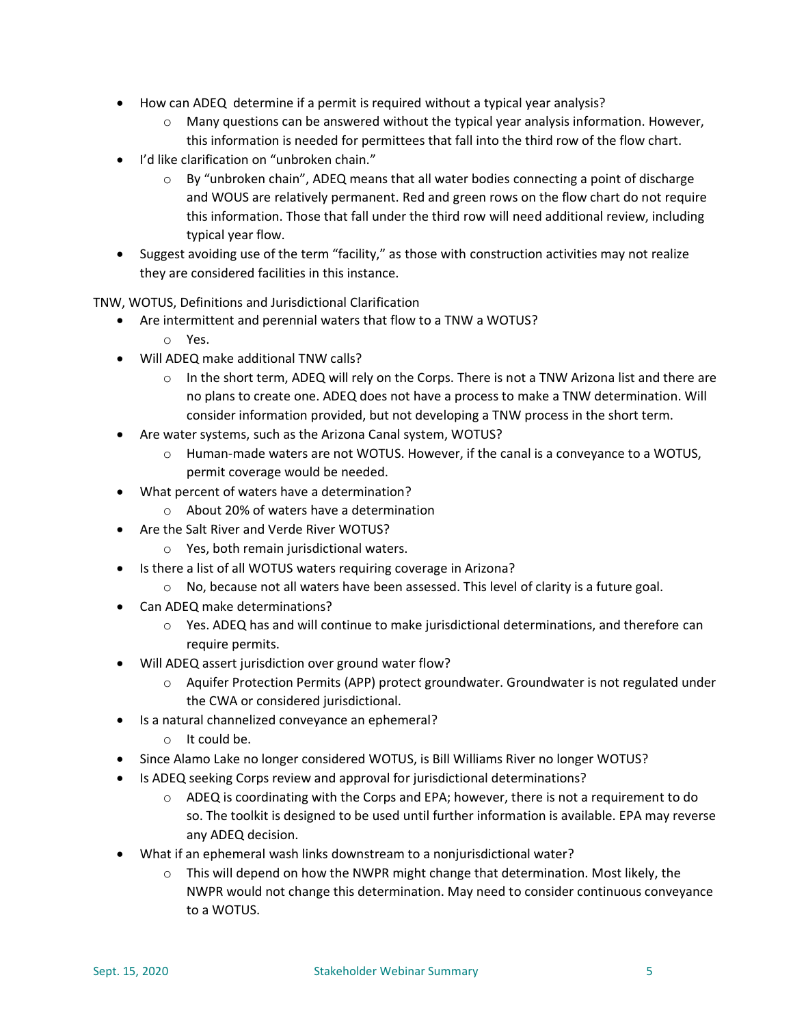- How can ADEQ determine if a permit is required without a typical year analysis?
	- $\circ$  Many questions can be answered without the typical year analysis information. However, this information is needed for permittees that fall into the third row of the flow chart.
- I'd like clarification on "unbroken chain."
	- $\circ$  By "unbroken chain", ADEQ means that all water bodies connecting a point of discharge and WOUS are relatively permanent. Red and green rows on the flow chart do not require this information. Those that fall under the third row will need additional review, including typical year flow.
- Suggest avoiding use of the term "facility," as those with construction activities may not realize they are considered facilities in this instance.

TNW, WOTUS, Definitions and Jurisdictional Clarification

- Are intermittent and perennial waters that flow to a TNW a WOTUS?
	- o Yes.
- Will ADEQ make additional TNW calls?
	- $\circ$  In the short term, ADEQ will rely on the Corps. There is not a TNW Arizona list and there are no plans to create one. ADEQ does not have a process to make a TNW determination. Will consider information provided, but not developing a TNW process in the short term.
- Are water systems, such as the Arizona Canal system, WOTUS?
	- $\circ$  Human-made waters are not WOTUS. However, if the canal is a conveyance to a WOTUS, permit coverage would be needed.
- What percent of waters have a determination?
	- o About 20% of waters have a determination
- Are the Salt River and Verde River WOTUS?
	- o Yes, both remain jurisdictional waters.
- Is there a list of all WOTUS waters requiring coverage in Arizona?
	- $\circ$  No, because not all waters have been assessed. This level of clarity is a future goal.
- Can ADEQ make determinations?
	- o Yes. ADEQ has and will continue to make jurisdictional determinations, and therefore can require permits.
- Will ADEQ assert jurisdiction over ground water flow?
	- o Aquifer Protection Permits (APP) protect groundwater. Groundwater is not regulated under the CWA or considered jurisdictional.
- Is a natural channelized conveyance an ephemeral?
	- o It could be.
- Since Alamo Lake no longer considered WOTUS, is Bill Williams River no longer WOTUS?
- Is ADEQ seeking Corps review and approval for jurisdictional determinations?
	- $\circ$  ADEQ is coordinating with the Corps and EPA; however, there is not a requirement to do so. The toolkit is designed to be used until further information is available. EPA may reverse any ADEQ decision.
- What if an ephemeral wash links downstream to a nonjurisdictional water?
	- $\circ$  This will depend on how the NWPR might change that determination. Most likely, the NWPR would not change this determination. May need to consider continuous conveyance to a WOTUS.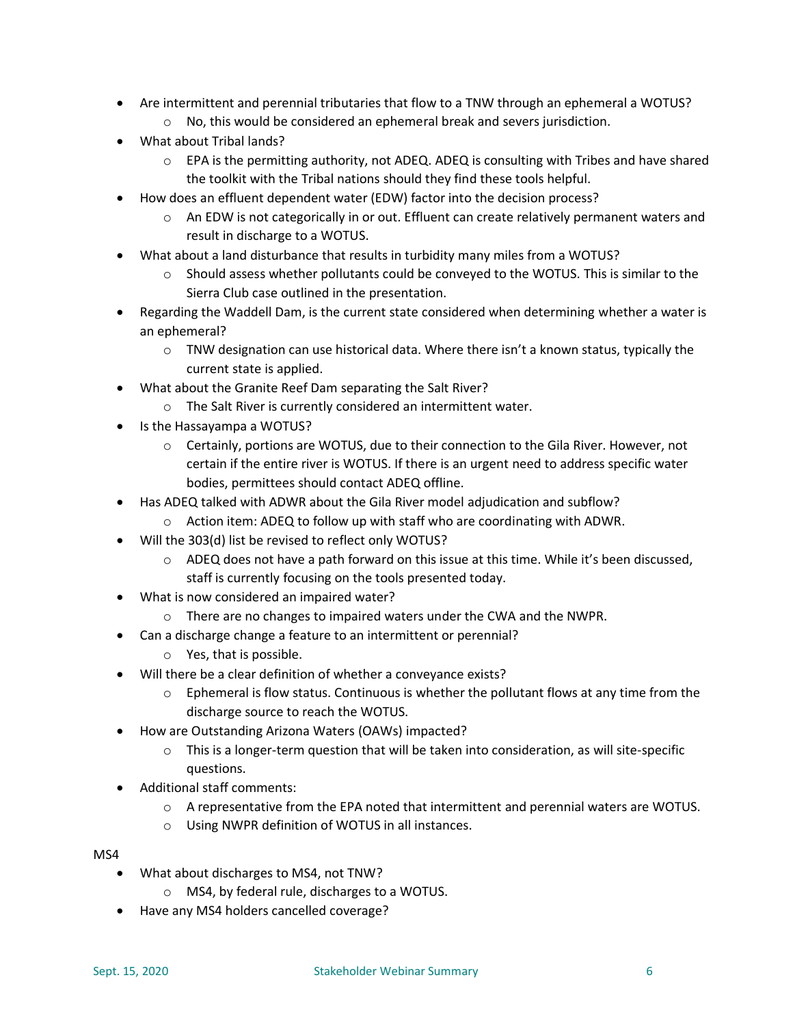- Are intermittent and perennial tributaries that flow to a TNW through an ephemeral a WOTUS?
	- o No, this would be considered an ephemeral break and severs jurisdiction.
- What about Tribal lands?
	- $\circ$  EPA is the permitting authority, not ADEQ. ADEQ is consulting with Tribes and have shared the toolkit with the Tribal nations should they find these tools helpful.
- How does an effluent dependent water (EDW) factor into the decision process?
	- $\circ$  An EDW is not categorically in or out. Effluent can create relatively permanent waters and result in discharge to a WOTUS.
- What about a land disturbance that results in turbidity many miles from a WOTUS?
	- $\circ$  Should assess whether pollutants could be conveyed to the WOTUS. This is similar to the Sierra Club case outlined in the presentation.
- Regarding the Waddell Dam, is the current state considered when determining whether a water is an ephemeral?
	- $\circ$  TNW designation can use historical data. Where there isn't a known status, typically the current state is applied.
- What about the Granite Reef Dam separating the Salt River?
	- o The Salt River is currently considered an intermittent water.
- Is the Hassayampa a WOTUS?
	- o Certainly, portions are WOTUS, due to their connection to the Gila River. However, not certain if the entire river is WOTUS. If there is an urgent need to address specific water bodies, permittees should contact ADEQ offline.
- Has ADEQ talked with ADWR about the Gila River model adjudication and subflow?
	- $\circ$  Action item: ADEQ to follow up with staff who are coordinating with ADWR.
- Will the 303(d) list be revised to reflect only WOTUS?
	- $\circ$  ADEQ does not have a path forward on this issue at this time. While it's been discussed, staff is currently focusing on the tools presented today.
- What is now considered an impaired water?
	- o There are no changes to impaired waters under the CWA and the NWPR.
- Can a discharge change a feature to an intermittent or perennial?
	- o Yes, that is possible.
- Will there be a clear definition of whether a conveyance exists?
	- $\circ$  Ephemeral is flow status. Continuous is whether the pollutant flows at any time from the discharge source to reach the WOTUS.
- How are Outstanding Arizona Waters (OAWs) impacted?
	- $\circ$  This is a longer-term question that will be taken into consideration, as will site-specific questions.
- Additional staff comments:
	- $\circ$  A representative from the EPA noted that intermittent and perennial waters are WOTUS.
	- o Using NWPR definition of WOTUS in all instances.

MS4

- What about discharges to MS4, not TNW?
	- o MS4, by federal rule, discharges to a WOTUS.
- Have any MS4 holders cancelled coverage?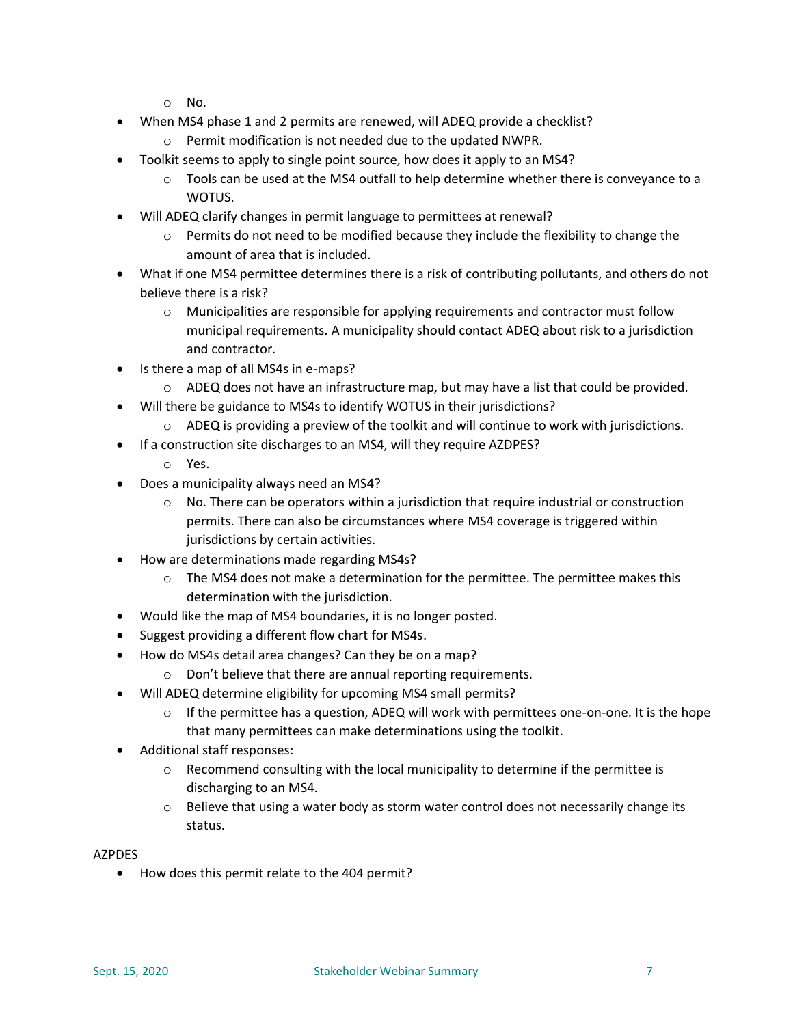- o No.
- When MS4 phase 1 and 2 permits are renewed, will ADEQ provide a checklist?
	- o Permit modification is not needed due to the updated NWPR.
- Toolkit seems to apply to single point source, how does it apply to an MS4?
	- $\circ$  Tools can be used at the MS4 outfall to help determine whether there is conveyance to a WOTUS.
- Will ADEQ clarify changes in permit language to permittees at renewal?
	- $\circ$  Permits do not need to be modified because they include the flexibility to change the amount of area that is included.
- What if one MS4 permittee determines there is a risk of contributing pollutants, and others do not believe there is a risk?
	- o Municipalities are responsible for applying requirements and contractor must follow municipal requirements. A municipality should contact ADEQ about risk to a jurisdiction and contractor.
- Is there a map of all MS4s in e-maps?
	- $\circ$  ADEQ does not have an infrastructure map, but may have a list that could be provided.
- Will there be guidance to MS4s to identify WOTUS in their jurisdictions?
	- $\circ$  ADEQ is providing a preview of the toolkit and will continue to work with jurisdictions.
- If a construction site discharges to an MS4, will they require AZDPES?
	- o Yes.
- Does a municipality always need an MS4?
	- $\circ$  No. There can be operators within a jurisdiction that require industrial or construction permits. There can also be circumstances where MS4 coverage is triggered within jurisdictions by certain activities.
- How are determinations made regarding MS4s?
	- $\circ$  The MS4 does not make a determination for the permittee. The permittee makes this determination with the jurisdiction.
- Would like the map of MS4 boundaries, it is no longer posted.
- Suggest providing a different flow chart for MS4s.
- How do MS4s detail area changes? Can they be on a map?
	- o Don't believe that there are annual reporting requirements.
- Will ADEQ determine eligibility for upcoming MS4 small permits?
	- $\circ$  If the permittee has a question, ADEQ will work with permittees one-on-one. It is the hope that many permittees can make determinations using the toolkit.
- Additional staff responses:
	- $\circ$  Recommend consulting with the local municipality to determine if the permittee is discharging to an MS4.
	- $\circ$  Believe that using a water body as storm water control does not necessarily change its status.

#### AZPDES

• How does this permit relate to the 404 permit?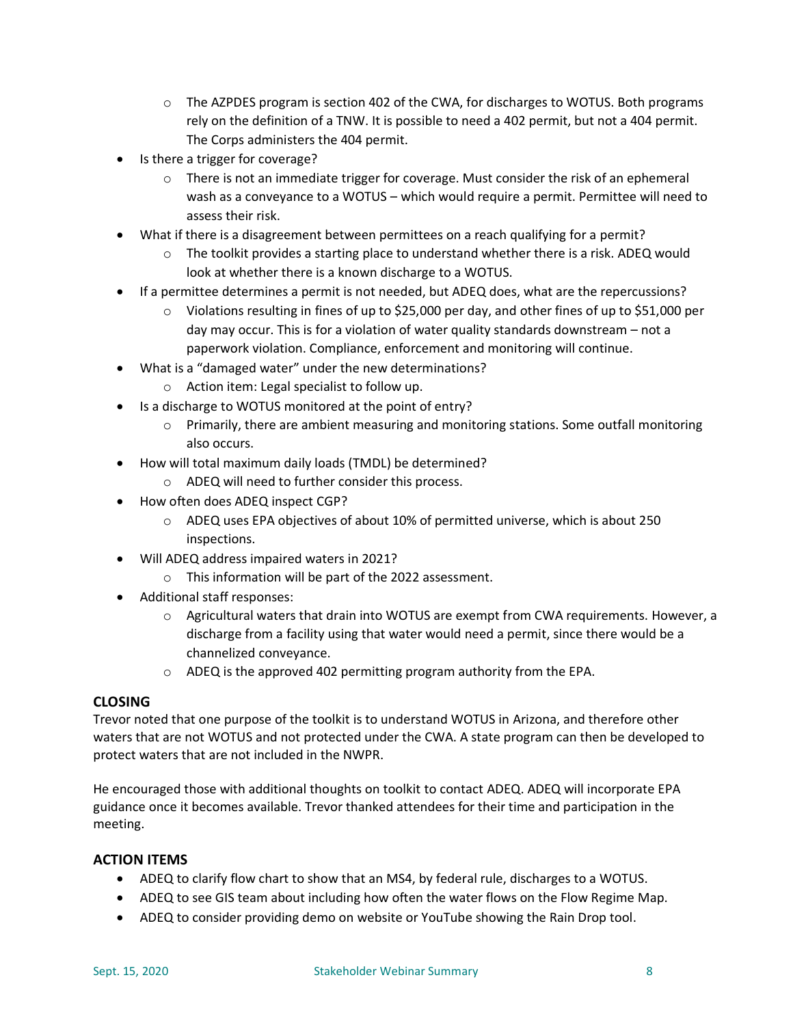- $\circ$  The AZPDES program is section 402 of the CWA, for discharges to WOTUS. Both programs rely on the definition of a TNW. It is possible to need a 402 permit, but not a 404 permit. The Corps administers the 404 permit.
- Is there a trigger for coverage?
	- $\circ$  There is not an immediate trigger for coverage. Must consider the risk of an ephemeral wash as a conveyance to a WOTUS – which would require a permit. Permittee will need to assess their risk.
- What if there is a disagreement between permittees on a reach qualifying for a permit?
	- $\circ$  The toolkit provides a starting place to understand whether there is a risk. ADEQ would look at whether there is a known discharge to a WOTUS.
- If a permittee determines a permit is not needed, but ADEQ does, what are the repercussions?
	- o Violations resulting in fines of up to \$25,000 per day, and other fines of up to \$51,000 per day may occur. This is for a violation of water quality standards downstream – not a paperwork violation. Compliance, enforcement and monitoring will continue.
- What is a "damaged water" under the new determinations?
	- o Action item: Legal specialist to follow up.
- Is a discharge to WOTUS monitored at the point of entry?
	- $\circ$  Primarily, there are ambient measuring and monitoring stations. Some outfall monitoring also occurs.
- How will total maximum daily loads (TMDL) be determined?
	- o ADEQ will need to further consider this process.
- How often does ADEQ inspect CGP?
	- $\circ$  ADEQ uses EPA objectives of about 10% of permitted universe, which is about 250 inspections.
- Will ADEQ address impaired waters in 2021?
	- o This information will be part of the 2022 assessment.
- Additional staff responses:
	- $\circ$  Agricultural waters that drain into WOTUS are exempt from CWA requirements. However, a discharge from a facility using that water would need a permit, since there would be a channelized conveyance.
	- o ADEQ is the approved 402 permitting program authority from the EPA.

# **CLOSING**

Trevor noted that one purpose of the toolkit is to understand WOTUS in Arizona, and therefore other waters that are not WOTUS and not protected under the CWA. A state program can then be developed to protect waters that are not included in the NWPR.

He encouraged those with additional thoughts on toolkit to contact ADEQ. ADEQ will incorporate EPA guidance once it becomes available. Trevor thanked attendees for their time and participation in the meeting.

# **ACTION ITEMS**

- ADEQ to clarify flow chart to show that an MS4, by federal rule, discharges to a WOTUS.
- ADEQ to see GIS team about including how often the water flows on the Flow Regime Map.
- ADEQ to consider providing demo on website or YouTube showing the Rain Drop tool.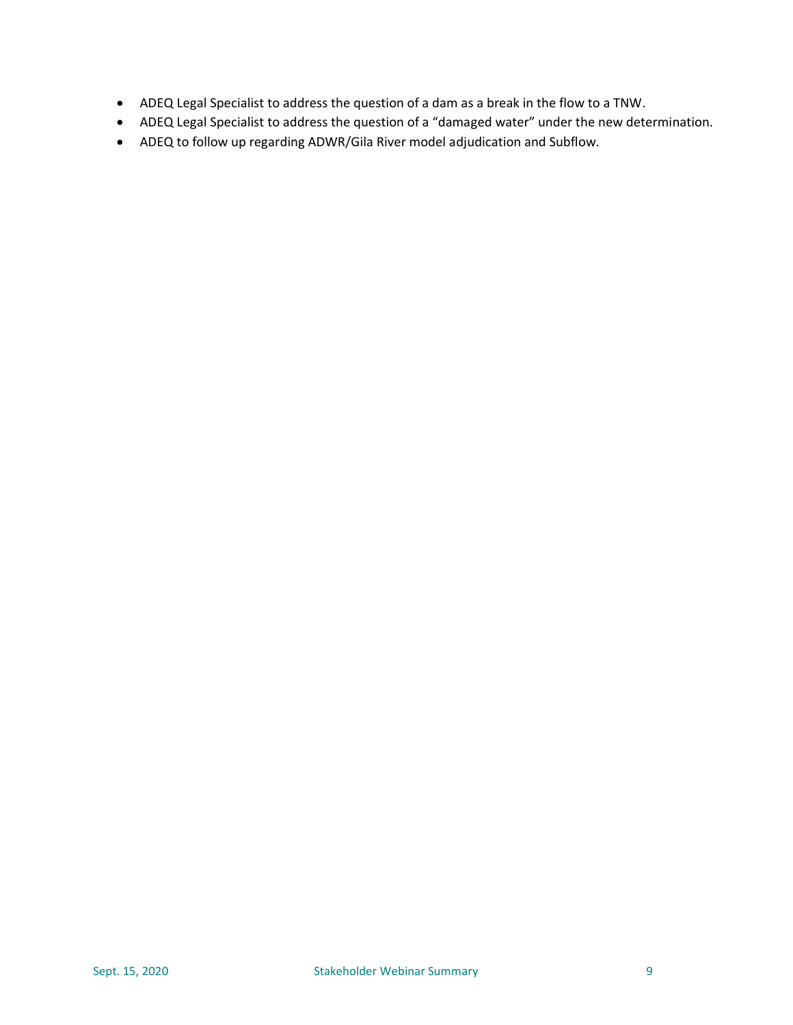- ADEQ Legal Specialist to address the question of a dam as a break in the flow to a TNW.
- ADEQ Legal Specialist to address the question of a "damaged water" under the new determination.
- ADEQ to follow up regarding ADWR/Gila River model adjudication and Subflow.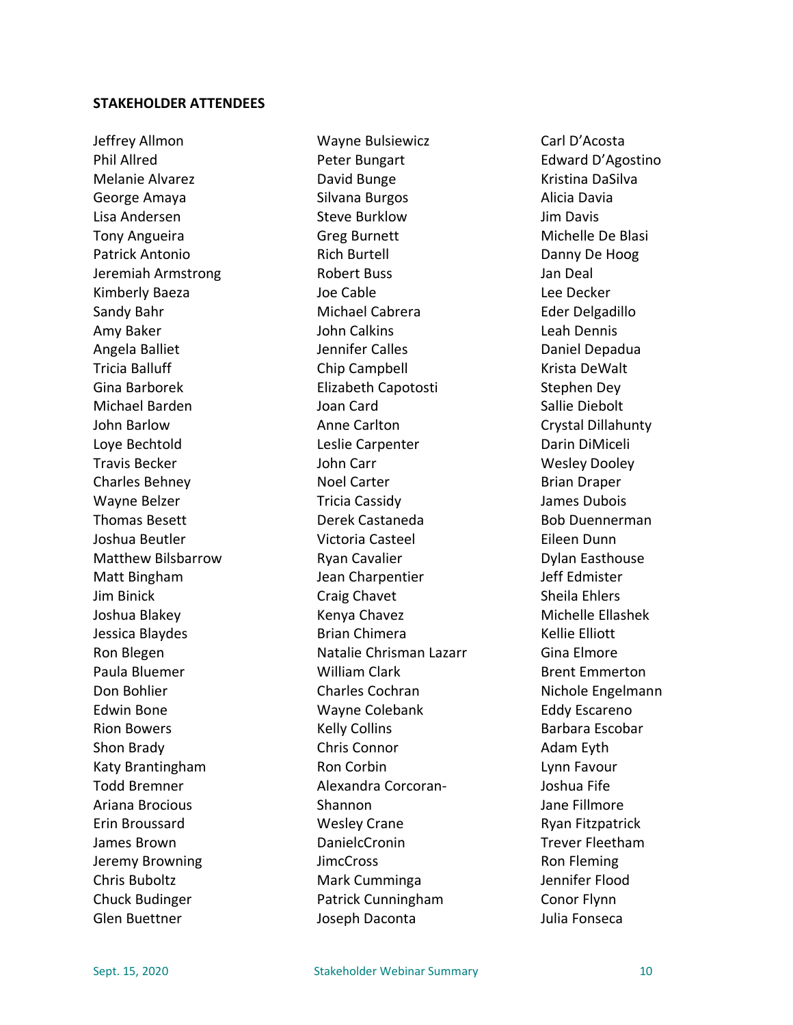## **STAKEHOLDER ATTENDEES**

Jeffrey Allmon Phil Allred Melanie Alvarez George Amaya Lisa Andersen Tony Angueira Patrick Antonio Jeremiah Armstrong Kimberly Baeza Sandy Bahr Amy Baker Angela Balliet Tricia Balluff Gina Barborek Michael Barden John Barlow Loye Bechtold Travis Becker Charles Behney Wayne Belzer Thomas Besett Joshua Beutler Matthew Bilsbarrow Matt Bingham Jim Binick Joshua Blakey Jessica Blaydes Ron Blegen Paula Bluemer Don Bohlier Edwin Bone Rion Bowers Shon Brady Katy Brantingham Todd Bremner Ariana Brocious Erin Broussard James Brown Jeremy Browning Chris Buboltz Chuck Budinger Glen Buettner

Wayne Bulsiewicz Peter Bungart David Bunge Silvana Burgos Steve Burklow Greg Burnett Rich Burtell Robert Buss Joe Cable Michael Cabrera John Calkins Jennifer Calles Chip Campbell Elizabeth Capotosti Joan Card Anne Carlton Leslie Carpenter John Carr Noel Carter Tricia Cassidy Derek Castaneda Victoria Casteel Ryan Cavalier Jean Charpentier Craig Chavet Kenya Chavez Brian Chimera Natalie Chrisman Lazarr William Clark Charles Cochran Wayne Colebank Kelly Collins Chris Connor Ron Corbin Alexandra Corcoran-Shannon Wesley Crane DanielcCronin **JimcCross** Mark Cumminga Patrick Cunningham Joseph Daconta

Carl D'Acosta Edward D'Agostino Kristina DaSilva Alicia Davia Jim Davis Michelle De Blasi Danny De Hoog Jan Deal Lee Decker Eder Delgadillo Leah Dennis Daniel Depadua Krista DeWalt Stephen Dey Sallie Diebolt Crystal Dillahunty Darin DiMiceli Wesley Dooley Brian Draper James Dubois Bob Duennerman Eileen Dunn Dylan Easthouse Jeff Edmister Sheila Ehlers Michelle Ellashek Kellie Elliott Gina Elmore Brent Emmerton Nichole Engelmann Eddy Escareno Barbara Escobar Adam Eyth Lynn Favour Joshua Fife Jane Fillmore Ryan Fitzpatrick Trever Fleetham Ron Fleming Jennifer Flood Conor Flynn Julia Fonseca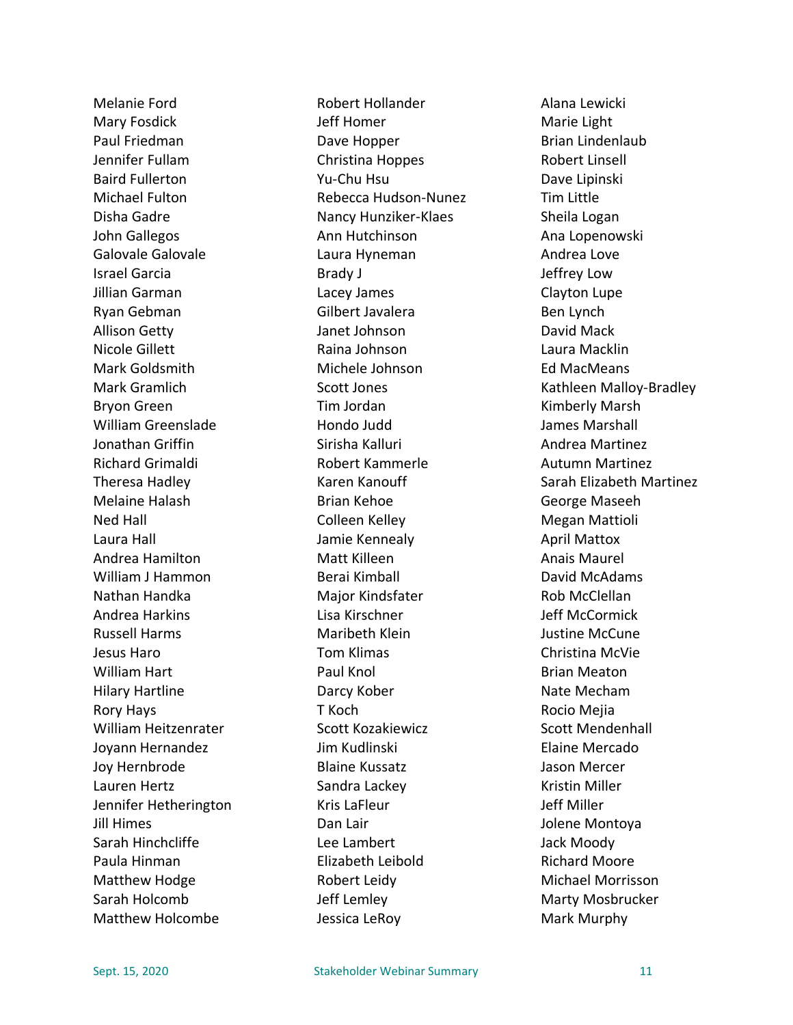Melanie Ford Mary Fosdick Paul Friedman Jennifer Fullam Baird Fullerton Michael Fulton Disha Gadre John Gallegos Galovale Galovale Israel Garcia Jillian Garman Ryan Gebman Allison Getty Nicole Gillett Mark Goldsmith Mark Gramlich Bryon Green William Greenslade Jonathan Griffin Richard Grimaldi Theresa Hadley Melaine Halash Ned Hall Laura Hall Andrea Hamilton William J Hammon Nathan Handka Andrea Harkins Russell Harms Jesus Haro William Hart Hilary Hartline Rory Hays William Heitzenrater Joyann Hernandez Joy Hernbrode Lauren Hertz Jennifer Hetherington Jill Himes Sarah Hinchcliffe Paula Hinman Matthew Hodge Sarah Holcomb Matthew Holcombe

Robert Hollander Jeff Homer Dave Hopper Christina Hoppes Yu-Chu Hsu Rebecca Hudson-Nunez Nancy Hunziker-Klaes Ann Hutchinson Laura Hyneman Brady J Lacey James Gilbert Javalera Janet Johnson Raina Johnson Michele Johnson Scott Jones Tim Jordan Hondo Judd Sirisha Kalluri Robert Kammerle Karen Kanouff Brian Kehoe Colleen Kelley Jamie Kennealy Matt Killeen Berai Kimball Major Kindsfater Lisa Kirschner Maribeth Klein Tom Klimas Paul Knol Darcy Kober T Koch Scott Kozakiewicz Jim Kudlinski Blaine Kussatz Sandra Lackey Kris LaFleur Dan Lair Lee Lambert Elizabeth Leibold Robert Leidy Jeff Lemley Jessica LeRoy

Alana Lewicki Marie Light Brian Lindenlaub Robert Linsell Dave Lipinski Tim Little Sheila Logan Ana Lopenowski Andrea Love Jeffrey Low Clayton Lupe Ben Lynch David Mack Laura Macklin Ed MacMeans Kathleen Malloy-Bradley Kimberly Marsh James Marshall Andrea Martinez Autumn Martinez Sarah Elizabeth Martinez George Maseeh Megan Mattioli April Mattox Anais Maurel David McAdams Rob McClellan Jeff McCormick Justine McCune Christina McVie Brian Meaton Nate Mecham Rocio Mejia Scott Mendenhall Elaine Mercado Jason Mercer Kristin Miller Jeff Miller Jolene Montoya Jack Moody Richard Moore Michael Morrisson Marty Mosbrucker Mark Murphy